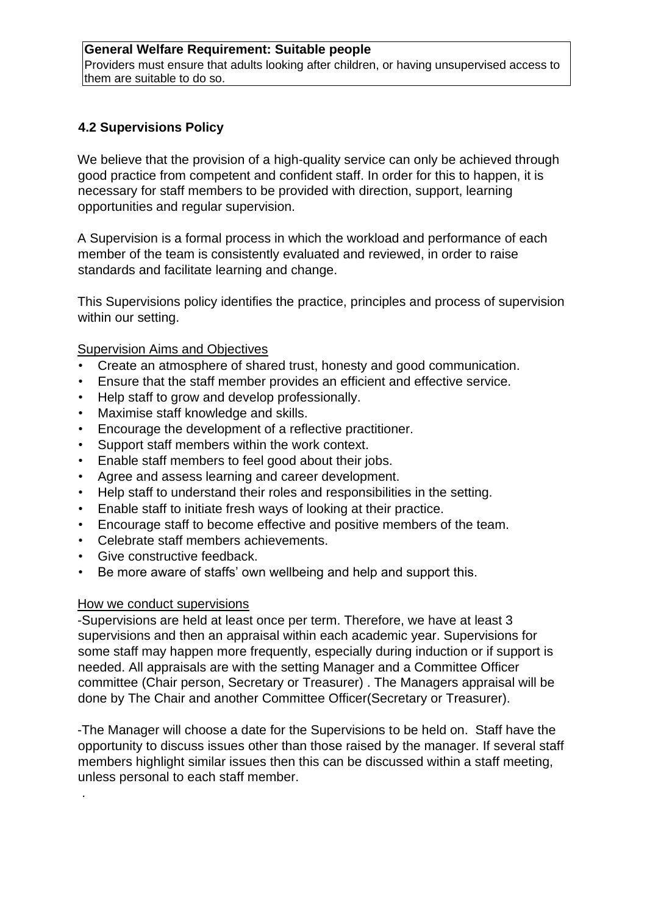## **General Welfare Requirement: Suitable people**

Providers must ensure that adults looking after children, or having unsupervised access to them are suitable to do so.

## **4.2 Supervisions Policy**

We believe that the provision of a high-quality service can only be achieved through good practice from competent and confident staff. In order for this to happen, it is necessary for staff members to be provided with direction, support, learning opportunities and regular supervision.

A Supervision is a formal process in which the workload and performance of each member of the team is consistently evaluated and reviewed, in order to raise standards and facilitate learning and change.

This Supervisions policy identifies the practice, principles and process of supervision within our setting.

## Supervision Aims and Objectives

- Create an atmosphere of shared trust, honesty and good communication.
- Ensure that the staff member provides an efficient and effective service.
- Help staff to grow and develop professionally.
- Maximise staff knowledge and skills.
- Encourage the development of a reflective practitioner.
- Support staff members within the work context.
- Enable staff members to feel good about their jobs.
- Agree and assess learning and career development.
- Help staff to understand their roles and responsibilities in the setting.
- Enable staff to initiate fresh ways of looking at their practice.
- Encourage staff to become effective and positive members of the team.
- Celebrate staff members achievements.
- Give constructive feedback.
- Be more aware of staffs' own wellbeing and help and support this.

## How we conduct supervisions

.

-Supervisions are held at least once per term. Therefore, we have at least 3 supervisions and then an appraisal within each academic year. Supervisions for some staff may happen more frequently, especially during induction or if support is needed. All appraisals are with the setting Manager and a Committee Officer committee (Chair person, Secretary or Treasurer) . The Managers appraisal will be done by The Chair and another Committee Officer(Secretary or Treasurer).

-The Manager will choose a date for the Supervisions to be held on. Staff have the opportunity to discuss issues other than those raised by the manager. If several staff members highlight similar issues then this can be discussed within a staff meeting, unless personal to each staff member.